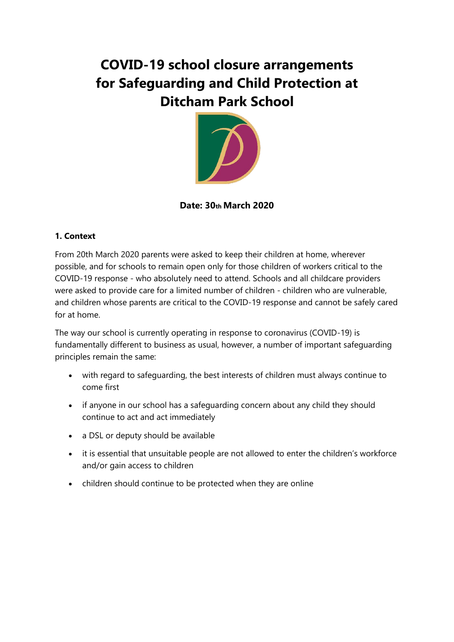# **COVID-19 school closure arrangements for Safeguarding and Child Protection at Ditcham Park School**



# **Date: 30th March 2020**

# **1. Context**

From 20th March 2020 parents were asked to keep their children at home, wherever possible, and for schools to remain open only for those children of workers critical to the COVID-19 response - who absolutely need to attend. Schools and all childcare providers were asked to provide care for a limited number of children - children who are vulnerable, and children whose parents are critical to the COVID-19 response and cannot be safely cared for at home.

The way our school is currently operating in response to coronavirus (COVID-19) is fundamentally different to business as usual, however, a number of important safeguarding principles remain the same:

- with regard to safeguarding, the best interests of children must always continue to come first
- if anyone in our school has a safeguarding concern about any child they should continue to act and act immediately
- a DSL or deputy should be available
- it is essential that unsuitable people are not allowed to enter the children's workforce and/or gain access to children
- children should continue to be protected when they are online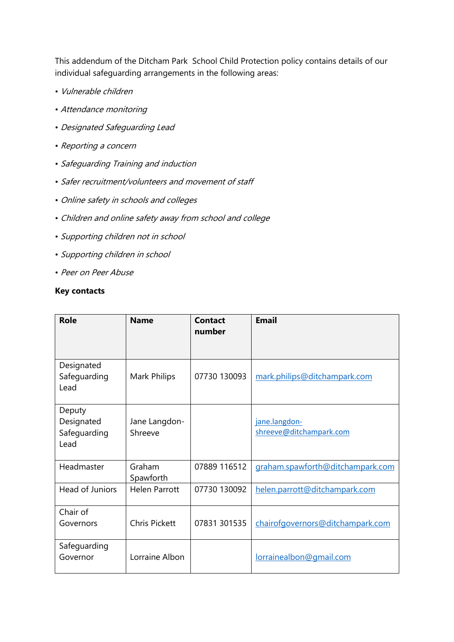This addendum of the Ditcham Park School Child Protection policy contains details of our individual safeguarding arrangements in the following areas:

- Vulnerable children
- Attendance monitoring
- Designated Safeguarding Lead
- Reporting a concern
- Safeguarding Training and induction
- Safer recruitment/volunteers and movement of staff
- Online safety in schools and colleges
- Children and online safety away from school and college
- Supporting children not in school
- Supporting children in school
- Peer on Peer Abuse

#### **Key contacts**

| Role                                         | <b>Name</b>              | <b>Contact</b><br>number | <b>Email</b>                             |
|----------------------------------------------|--------------------------|--------------------------|------------------------------------------|
| Designated<br>Safeguarding<br>Lead           | Mark Philips             | 07730 130093             | mark.philips@ditchampark.com             |
| Deputy<br>Designated<br>Safeguarding<br>Lead | Jane Langdon-<br>Shreeve |                          | jane.langdon-<br>shreeve@ditchampark.com |
| Headmaster                                   | Graham<br>Spawforth      | 07889 116512             | graham.spawforth@ditchampark.com         |
| Head of Juniors                              | <b>Helen Parrott</b>     | 07730 130092             | helen.parrott@ditchampark.com            |
| Chair of<br>Governors                        | <b>Chris Pickett</b>     | 07831 301535             | chairofgovernors@ditchampark.com         |
| Safeguarding<br>Governor                     | Lorraine Albon           |                          | lorrainealbon@gmail.com                  |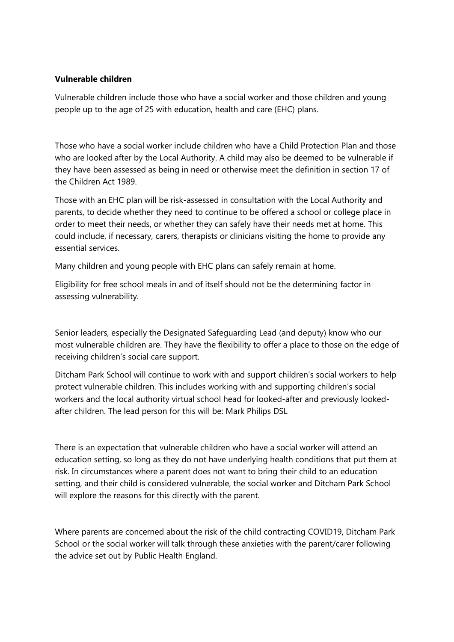#### **Vulnerable children**

Vulnerable children include those who have a social worker and those children and young people up to the age of 25 with education, health and care (EHC) plans.

Those who have a social worker include children who have a Child Protection Plan and those who are looked after by the Local Authority. A child may also be deemed to be vulnerable if they have been assessed as being in need or otherwise meet the definition in section 17 of the Children Act 1989.

Those with an EHC plan will be risk-assessed in consultation with the Local Authority and parents, to decide whether they need to continue to be offered a school or college place in order to meet their needs, or whether they can safely have their needs met at home. This could include, if necessary, carers, therapists or clinicians visiting the home to provide any essential services.

Many children and young people with EHC plans can safely remain at home.

Eligibility for free school meals in and of itself should not be the determining factor in assessing vulnerability.

Senior leaders, especially the Designated Safeguarding Lead (and deputy) know who our most vulnerable children are. They have the flexibility to offer a place to those on the edge of receiving children's social care support.

Ditcham Park School will continue to work with and support children's social workers to help protect vulnerable children. This includes working with and supporting children's social workers and the local authority virtual school head for looked-after and previously lookedafter children. The lead person for this will be: Mark Philips DSL

There is an expectation that vulnerable children who have a social worker will attend an education setting, so long as they do not have underlying health conditions that put them at risk. In circumstances where a parent does not want to bring their child to an education setting, and their child is considered vulnerable, the social worker and Ditcham Park School will explore the reasons for this directly with the parent.

Where parents are concerned about the risk of the child contracting COVID19, Ditcham Park School or the social worker will talk through these anxieties with the parent/carer following the advice set out by Public Health England.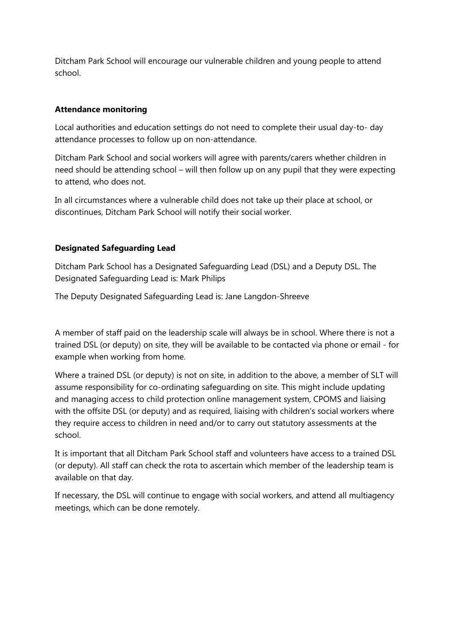Ditcham Park School will encourage our vulnerable children and young people to attend school.

# **Attendance monitoring**

Local authorities and education settings do not need to complete their usual day-to- day attendance processes to follow up on non-attendance.

Ditcham Park School and social workers will agree with parents/carers whether children in need should be attending school – will then follow up on any pupil that they were expecting to attend, who does not.

In all circumstances where a vulnerable child does not take up their place at school, or discontinues, Ditcham Park School will notify their social worker.

# **Designated Safeguarding Lead**

Ditcham Park School has a Designated Safeguarding Lead (DSL) and a Deputy DSL. The Designated Safeguarding Lead is: Mark Philips

The Deputy Designated Safeguarding Lead is: Jane Langdon-Shreeve

A member of staff paid on the leadership scale will always be in school. Where there is not a trained DSL (or deputy) on site, they will be available to be contacted via phone or email - for example when working from home.

Where a trained DSL (or deputy) is not on site, in addition to the above, a member of SLT will assume responsibility for co-ordinating safeguarding on site. This might include updating and managing access to child protection online management system, CPOMS and liaising with the offsite DSL (or deputy) and as required, liaising with children's social workers where they require access to children in need and/or to carry out statutory assessments at the school.

It is important that all Ditcham Park School staff and volunteers have access to a trained DSL (or deputy). All staff can check the rota to ascertain which member of the leadership team is available on that day.

If necessary, the DSL will continue to engage with social workers, and attend all multiagency meetings, which can be done remotely.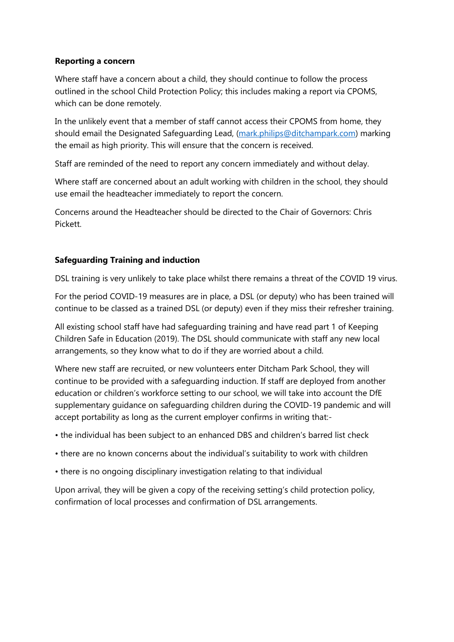#### **Reporting a concern**

Where staff have a concern about a child, they should continue to follow the process outlined in the school Child Protection Policy; this includes making a report via CPOMS, which can be done remotely.

In the unlikely event that a member of staff cannot access their CPOMS from home, they should email the Designated Safeguarding Lead, [\(mark.philips@ditchampark.com\)](mailto:mark.philips@ditchampark.com) marking the email as high priority. This will ensure that the concern is received.

Staff are reminded of the need to report any concern immediately and without delay.

Where staff are concerned about an adult working with children in the school, they should use email the headteacher immediately to report the concern.

Concerns around the Headteacher should be directed to the Chair of Governors: Chris Pickett.

# **Safeguarding Training and induction**

DSL training is very unlikely to take place whilst there remains a threat of the COVID 19 virus.

For the period COVID-19 measures are in place, a DSL (or deputy) who has been trained will continue to be classed as a trained DSL (or deputy) even if they miss their refresher training.

All existing school staff have had safeguarding training and have read part 1 of Keeping Children Safe in Education (2019). The DSL should communicate with staff any new local arrangements, so they know what to do if they are worried about a child.

Where new staff are recruited, or new volunteers enter Ditcham Park School, they will continue to be provided with a safeguarding induction. If staff are deployed from another education or children's workforce setting to our school, we will take into account the DfE supplementary guidance on safeguarding children during the COVID-19 pandemic and will accept portability as long as the current employer confirms in writing that:-

• the individual has been subject to an enhanced DBS and children's barred list check

- there are no known concerns about the individual's suitability to work with children
- there is no ongoing disciplinary investigation relating to that individual

Upon arrival, they will be given a copy of the receiving setting's child protection policy, confirmation of local processes and confirmation of DSL arrangements.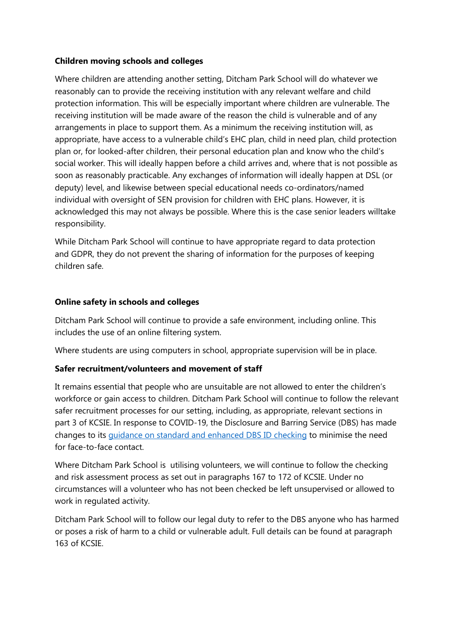# **Children moving schools and colleges**

Where children are attending another setting, Ditcham Park School will do whatever we reasonably can to provide the receiving institution with any relevant welfare and child protection information. This will be especially important where children are vulnerable. The receiving institution will be made aware of the reason the child is vulnerable and of any arrangements in place to support them. As a minimum the receiving institution will, as appropriate, have access to a vulnerable child's EHC plan, child in need plan, child protection plan or, for looked-after children, their personal education plan and know who the child's social worker. This will ideally happen before a child arrives and, where that is not possible as soon as reasonably practicable. Any exchanges of information will ideally happen at DSL (or deputy) level, and likewise between special educational needs co-ordinators/named individual with oversight of SEN provision for children with EHC plans. However, it is acknowledged this may not always be possible. Where this is the case senior leaders willtake responsibility.

While Ditcham Park School will continue to have appropriate regard to data protection and GDPR, they do not prevent the sharing of information for the purposes of keeping children safe.

# **Online safety in schools and colleges**

Ditcham Park School will continue to provide a safe environment, including online. This includes the use of an online filtering system.

Where students are using computers in school, appropriate supervision will be in place.

# **Safer recruitment/volunteers and movement of staff**

It remains essential that people who are unsuitable are not allowed to enter the children's workforce or gain access to children. Ditcham Park School will continue to follow the relevant safer recruitment processes for our setting, including, as appropriate, relevant sections in part 3 of KCSIE. In response to COVID-19, the Disclosure and Barring Service (DBS) has made changes to its [guidance on standard and enhanced](https://www.gov.uk/government/news/covid-19-changes-to-standard-and-enhanced-id-checking-guidelines) DBS ID checking to minimise the need for face-to-face contact.

Where Ditcham Park School is utilising volunteers, we will continue to follow the checking and risk assessment process as set out in paragraphs 167 to 172 of KCSIE. Under no circumstances will a volunteer who has not been checked be left unsupervised or allowed to work in regulated activity.

Ditcham Park School will to follow our legal duty to refer to the DBS anyone who has harmed or poses a risk of harm to a child or vulnerable adult. Full details can be found at paragraph 163 of KCSIE.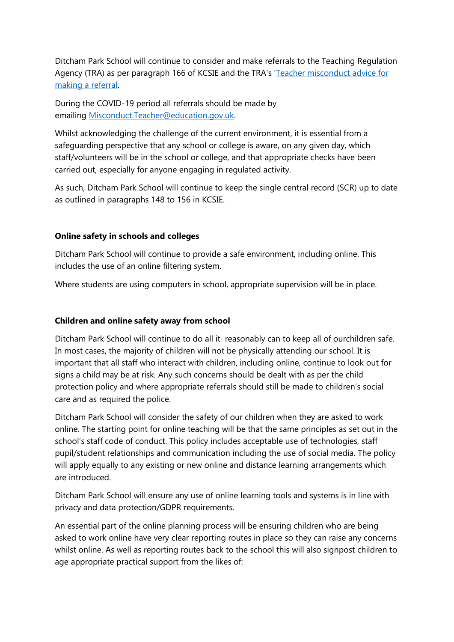Ditcham Park School will continue to consider and make referrals to the Teaching Regulation Agency (TRA) as per paragraph 166 of KCSIE and the TRA's '[Teacher misconduct advice for](https://www.gov.uk/guidance/teacher-misconduct-referring-a-case)  [making a referral.](https://www.gov.uk/guidance/teacher-misconduct-referring-a-case)

During the COVID-19 period all referrals should be made by emailing [Misconduct.Teacher@education.gov.uk.](mailto:Misconduct.Teacher@education.gov.uk)

Whilst acknowledging the challenge of the current environment, it is essential from a safeguarding perspective that any school or college is aware, on any given day, which staff/volunteers will be in the school or college, and that appropriate checks have been carried out, especially for anyone engaging in regulated activity.

As such, Ditcham Park School will continue to keep the single central record (SCR) up to date as outlined in paragraphs 148 to 156 in KCSIE.

#### **Online safety in schools and colleges**

Ditcham Park School will continue to provide a safe environment, including online. This includes the use of an online filtering system.

Where students are using computers in school, appropriate supervision will be in place.

#### **Children and online safety away from school**

Ditcham Park School will continue to do all it reasonably can to keep all of ourchildren safe. In most cases, the majority of children will not be physically attending our school. It is important that all staff who interact with children, including online, continue to look out for signs a child may be at risk. Any such concerns should be dealt with as per the child protection policy and where appropriate referrals should still be made to children's social care and as required the police.

Ditcham Park School will consider the safety of our children when they are asked to work online. The starting point for online teaching will be that the same principles as set out in the school's staff code of conduct. This policy includes acceptable use of technologies, staff pupil/student relationships and communication including the use of social media. The policy will apply equally to any existing or new online and distance learning arrangements which are introduced.

Ditcham Park School will ensure any use of online learning tools and systems is in line with privacy and data protection/GDPR requirements.

An essential part of the online planning process will be ensuring children who are being asked to work online have very clear reporting routes in place so they can raise any concerns whilst online. As well as reporting routes back to the school this will also signpost children to age appropriate practical support from the likes of: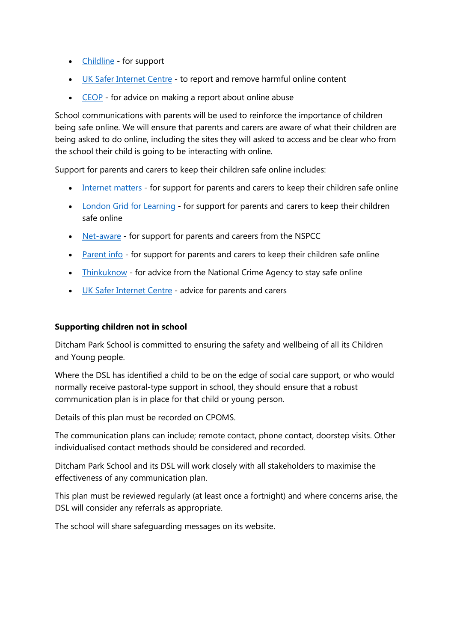- [Childline](https://www.childline.org.uk/?utm_source=google&utm_medium=cpc&utm_campaign=UK_GO_S_B_BND_Grant_Childline_Information&utm_term=role_of_childline&gclsrc=aw.ds&&gclid=EAIaIQobChMIlfLRh-ez6AIVRrDtCh1N9QR2EAAYASAAEgLc-vD_BwE&gclsrc=aw.ds) for support
- [UK Safer Internet Centre](https://reportharmfulcontent.com/) to report and remove harmful online content
- [CEOP](https://www.ceop.police.uk/safety-centre/) for advice on making a report about online abuse

School communications with parents will be used to reinforce the importance of children being safe online. We will ensure that parents and carers are aware of what their children are being asked to do online, including the sites they will asked to access and be clear who from the school their child is going to be interacting with online.

Support for parents and carers to keep their children safe online includes:

- [Internet matters](https://www.internetmatters.org/?gclid=EAIaIQobChMIktuA5LWK2wIVRYXVCh2afg2aEAAYASAAEgIJ5vD_BwE) for support for parents and carers to keep their children safe online
- [London Grid for Learning](http://www.lgfl.net/online-safety/) for support for parents and carers to keep their children safe online
- [Net-aware](https://www.net-aware.org.uk/) for support for parents and careers from the NSPCC
- [Parent info](https://parentinfo.org/) for support for parents and carers to keep their children safe online
- [Thinkuknow](http://www.thinkuknow.co.uk/) for advice from the National Crime Agency to stay safe online
- [UK Safer Internet Centre](https://www.saferinternet.org.uk/advice-centre/parents-and-carers) advice for parents and carers

# **Supporting children not in school**

Ditcham Park School is committed to ensuring the safety and wellbeing of all its Children and Young people.

Where the DSL has identified a child to be on the edge of social care support, or who would normally receive pastoral-type support in school, they should ensure that a robust communication plan is in place for that child or young person.

Details of this plan must be recorded on CPOMS.

The communication plans can include; remote contact, phone contact, doorstep visits. Other individualised contact methods should be considered and recorded.

Ditcham Park School and its DSL will work closely with all stakeholders to maximise the effectiveness of any communication plan.

This plan must be reviewed regularly (at least once a fortnight) and where concerns arise, the DSL will consider any referrals as appropriate.

The school will share safeguarding messages on its website.